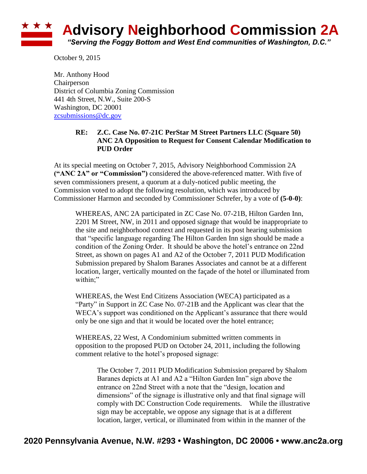## **\* \* \* Advisory Neighborhood Commission 2A** *"Serving the Foggy Bottom and West End communities of Washington, D.C."*

October 9, 2015

Mr. Anthony Hood Chairperson District of Columbia Zoning Commission 441 4th Street, N.W., Suite 200-S Washington, DC 20001 [zcsubmissions@dc.gov](mailto:zcsubmissions@dc.gov)

## **RE: Z.C. Case No. 07-21C PerStar M Street Partners LLC (Square 50) ANC 2A Opposition to Request for Consent Calendar Modification to PUD Order**

At its special meeting on October 7, 2015, Advisory Neighborhood Commission 2A **("ANC 2A" or "Commission")** considered the above-referenced matter. With five of seven commissioners present, a quorum at a duly-noticed public meeting, the Commission voted to adopt the following resolution, which was introduced by Commissioner Harmon and seconded by Commissioner Schrefer, by a vote of **(5-0-0)**:

WHEREAS, ANC 2A participated in ZC Case No. 07-21B, Hilton Garden Inn, 2201 M Street, NW, in 2011 and opposed signage that would be inappropriate to the site and neighborhood context and requested in its post hearing submission that "specific language regarding The Hilton Garden Inn sign should be made a condition of the Zoning Order. It should be above the hotel's entrance on 22nd Street, as shown on pages A1 and A2 of the October 7, 2011 PUD Modification Submission prepared by Shalom Baranes Associates and cannot be at a different location, larger, vertically mounted on the façade of the hotel or illuminated from within:"

WHEREAS, the West End Citizens Association (WECA) participated as a "Party" in Support in ZC Case No. 07-21B and the Applicant was clear that the WECA's support was conditioned on the Applicant's assurance that there would only be one sign and that it would be located over the hotel entrance;

WHEREAS, 22 West, A Condominium submitted written comments in opposition to the proposed PUD on October 24, 2011, including the following comment relative to the hotel's proposed signage:

The October 7, 2011 PUD Modification Submission prepared by Shalom Baranes depicts at A1 and A2 a "Hilton Garden Inn" sign above the entrance on 22nd Street with a note that the "design, location and dimensions" of the signage is illustrative only and that final signage will comply with DC Construction Code requirements. While the illustrative sign may be acceptable, we oppose any signage that is at a different location, larger, vertical, or illuminated from within in the manner of the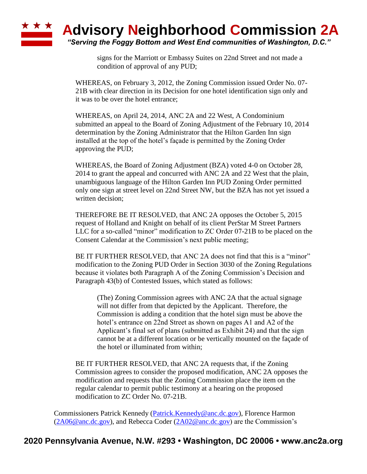## ★ ★ ★ **Advisory Neighborhood Commission 2A** *"Serving the Foggy Bottom and West End communities of Washington, D.C."*

signs for the Marriott or Embassy Suites on 22nd Street and not made a condition of approval of any PUD;

WHEREAS, on February 3, 2012, the Zoning Commission issued Order No. 07- 21B with clear direction in its Decision for one hotel identification sign only and it was to be over the hotel entrance;

WHEREAS, on April 24, 2014, ANC 2A and 22 West, A Condominium submitted an appeal to the Board of Zoning Adjustment of the February 10, 2014 determination by the Zoning Administrator that the Hilton Garden Inn sign installed at the top of the hotel's façade is permitted by the Zoning Order approving the PUD;

WHEREAS, the Board of Zoning Adjustment (BZA) voted 4-0 on October 28, 2014 to grant the appeal and concurred with ANC 2A and 22 West that the plain, unambiguous language of the Hilton Garden Inn PUD Zoning Order permitted only one sign at street level on 22nd Street NW, but the BZA has not yet issued a written decision;

THEREFORE BE IT RESOLVED, that ANC 2A opposes the October 5, 2015 request of Holland and Knight on behalf of its client PerStar M Street Partners LLC for a so-called "minor" modification to ZC Order 07-21B to be placed on the Consent Calendar at the Commission's next public meeting;

BE IT FURTHER RESOLVED, that ANC 2A does not find that this is a "minor" modification to the Zoning PUD Order in Section 3030 of the Zoning Regulations because it violates both Paragraph A of the Zoning Commission's Decision and Paragraph 43(b) of Contested Issues, which stated as follows:

(The) Zoning Commission agrees with ANC 2A that the actual signage will not differ from that depicted by the Applicant. Therefore, the Commission is adding a condition that the hotel sign must be above the hotel's entrance on 22nd Street as shown on pages A1 and A2 of the Applicant's final set of plans (submitted as Exhibit 24) and that the sign cannot be at a different location or be vertically mounted on the façade of the hotel or illuminated from within;

BE IT FURTHER RESOLVED, that ANC 2A requests that, if the Zoning Commission agrees to consider the proposed modification, ANC 2A opposes the modification and requests that the Zoning Commission place the item on the regular calendar to permit public testimony at a hearing on the proposed modification to ZC Order No. 07-21B.

Commissioners Patrick Kennedy [\(Patrick.Kennedy@anc.dc.gov\)](mailto:Patrick.Kennedy@anc.dc.gov), Florence Harmon [\(2A06@anc.dc.gov\)](mailto:2A06@anc.dc.gov), and Rebecca Coder [\(2A02@anc.dc.gov\)](mailto:2A02@anc.dc.gov) are the Commission's

## **2020 Pennsylvania Avenue, N.W. #293 • Washington, DC 20006 • www.anc2a.org**